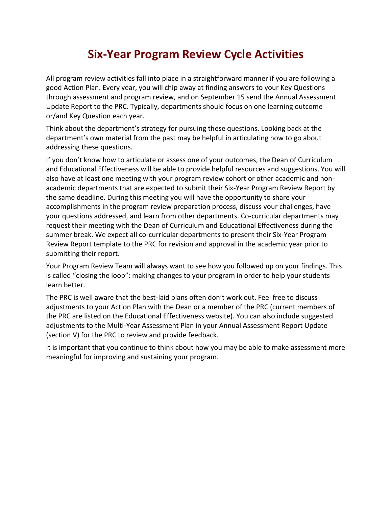## **Six-Year Program Review Cycle Activities**

All program review activities fall into place in a straightforward manner if you are following a good Action Plan. Every year, you will chip away at finding answers to your Key Questions through assessment and program review, and on September 15 send the Annual Assessment Update Report to the PRC. Typically, departments should focus on one learning outcome or/and Key Question each year.

Think about the department's strategy for pursuing these questions. Looking back at the department's own material from the past may be helpful in articulating how to go about addressing these questions.

If you don't know how to articulate or assess one of your outcomes, the Dean of Curriculum and Educational Effectiveness will be able to provide helpful resources and suggestions. You will also have at least one meeting with your program review cohort or other academic and nonacademic departments that are expected to submit their Six-Year Program Review Report by the same deadline. During this meeting you will have the opportunity to share your accomplishments in the program review preparation process, discuss your challenges, have your questions addressed, and learn from other departments. Co-curricular departments may request their meeting with the Dean of Curriculum and Educational Effectiveness during the summer break. We expect all co-curricular departments to present their Six-Year Program Review Report template to the PRC for revision and approval in the academic year prior to submitting their report.

Your Program Review Team will always want to see how you followed up on your findings. This is called "closing the loop": making changes to your program in order to help your students learn better.

The PRC is well aware that the best-laid plans often don't work out. Feel free to discuss adjustments to your Action Plan with the Dean or a member of the PRC (current members of the PRC are listed on the Educational Effectiveness website). You can also include suggested adjustments to the Multi-Year Assessment Plan in your Annual Assessment Report Update (section V) for the PRC to review and provide feedback.

It is important that you continue to think about how you may be able to make assessment more meaningful for improving and sustaining your program.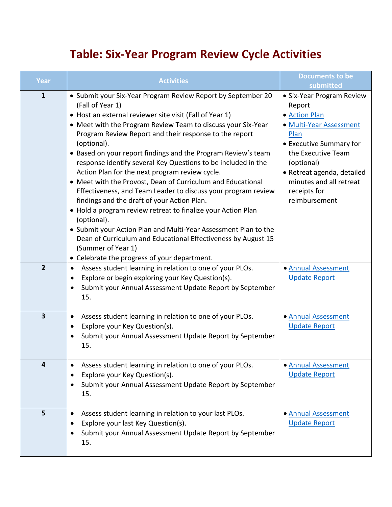## **Table: Six-Year Program Review Cycle Activities**

| Year                    | <b>Activities</b>                                                                                                                                                                                                                                                                                                                                                                                                                                                                                                                                                                                                                                                                                                                                                                                                                                                                                                                                | <b>Documents to be</b><br>submitted                                                                                                                                                                                                              |
|-------------------------|--------------------------------------------------------------------------------------------------------------------------------------------------------------------------------------------------------------------------------------------------------------------------------------------------------------------------------------------------------------------------------------------------------------------------------------------------------------------------------------------------------------------------------------------------------------------------------------------------------------------------------------------------------------------------------------------------------------------------------------------------------------------------------------------------------------------------------------------------------------------------------------------------------------------------------------------------|--------------------------------------------------------------------------------------------------------------------------------------------------------------------------------------------------------------------------------------------------|
| $\mathbf{1}$            | • Submit your Six-Year Program Review Report by September 20<br>(Fall of Year 1)<br>• Host an external reviewer site visit (Fall of Year 1)<br>• Meet with the Program Review Team to discuss your Six-Year<br>Program Review Report and their response to the report<br>(optional).<br>• Based on your report findings and the Program Review's team<br>response identify several Key Questions to be included in the<br>Action Plan for the next program review cycle.<br>• Meet with the Provost, Dean of Curriculum and Educational<br>Effectiveness, and Team Leader to discuss your program review<br>findings and the draft of your Action Plan.<br>• Hold a program review retreat to finalize your Action Plan<br>(optional).<br>• Submit your Action Plan and Multi-Year Assessment Plan to the<br>Dean of Curriculum and Educational Effectiveness by August 15<br>(Summer of Year 1)<br>• Celebrate the progress of your department. | • Six-Year Program Review<br>Report<br>• Action Plan<br>• Multi-Year Assessment<br>Plan<br>• Executive Summary for<br>the Executive Team<br>(optional)<br>• Retreat agenda, detailed<br>minutes and all retreat<br>receipts for<br>reimbursement |
| $\overline{2}$          | Assess student learning in relation to one of your PLOs.<br>$\bullet$<br>Explore or begin exploring your Key Question(s).<br>Submit your Annual Assessment Update Report by September<br>15.                                                                                                                                                                                                                                                                                                                                                                                                                                                                                                                                                                                                                                                                                                                                                     | · Annual Assessment<br><b>Update Report</b>                                                                                                                                                                                                      |
| $\overline{\mathbf{3}}$ | Assess student learning in relation to one of your PLOs.<br>$\bullet$<br>Explore your Key Question(s).<br>Submit your Annual Assessment Update Report by September<br>15.                                                                                                                                                                                                                                                                                                                                                                                                                                                                                                                                                                                                                                                                                                                                                                        | · Annual Assessment<br><b>Update Report</b>                                                                                                                                                                                                      |
| 4                       | Assess student learning in relation to one of your PLOs.<br>Explore your Key Question(s).<br>٠<br>Submit your Annual Assessment Update Report by September<br>15.                                                                                                                                                                                                                                                                                                                                                                                                                                                                                                                                                                                                                                                                                                                                                                                | · Annual Assessment<br><b>Update Report</b>                                                                                                                                                                                                      |
| 5                       | Assess student learning in relation to your last PLOs.<br>$\bullet$<br>Explore your last Key Question(s).<br>Submit your Annual Assessment Update Report by September<br>15.                                                                                                                                                                                                                                                                                                                                                                                                                                                                                                                                                                                                                                                                                                                                                                     | · Annual Assessment<br><b>Update Report</b>                                                                                                                                                                                                      |